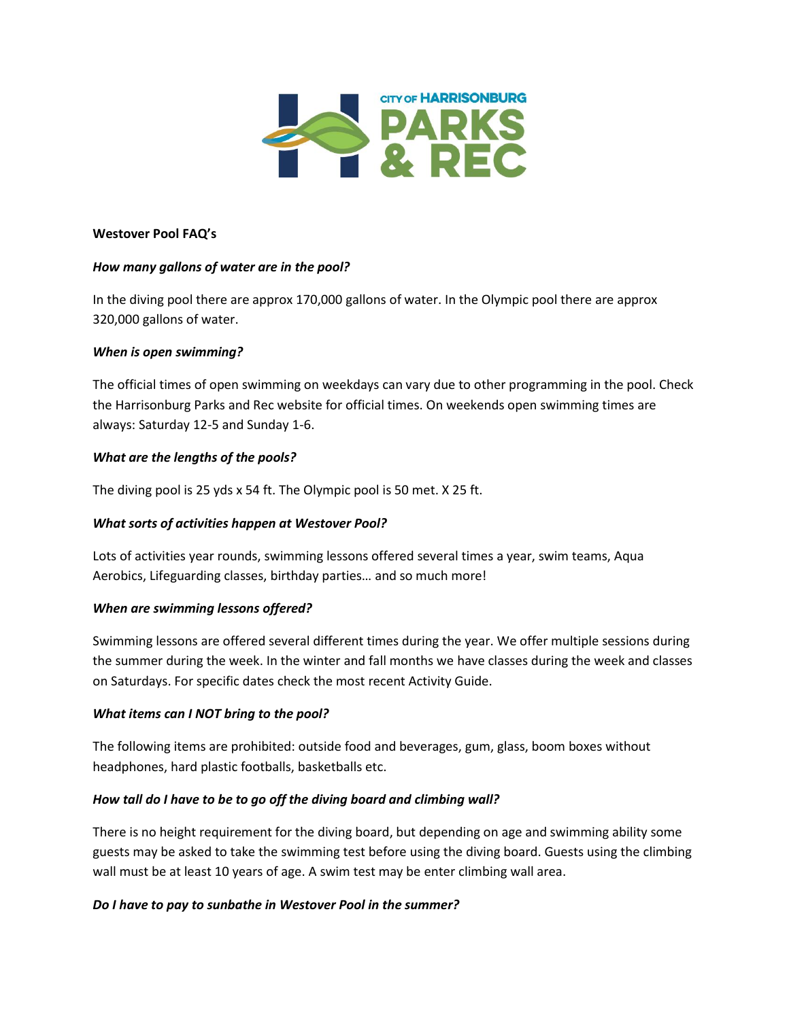

#### **Westover Pool FAQ's**

# *How many gallons of water are in the pool?*

In the diving pool there are approx 170,000 gallons of water. In the Olympic pool there are approx 320,000 gallons of water.

### *When is open swimming?*

The official times of open swimming on weekdays can vary due to other programming in the pool. Check the Harrisonburg Parks and Rec website for official times. On weekends open swimming times are always: Saturday 12-5 and Sunday 1-6.

### *What are the lengths of the pools?*

The diving pool is 25 yds x 54 ft. The Olympic pool is 50 met. X 25 ft.

#### *What sorts of activities happen at Westover Pool?*

Lots of activities year rounds, swimming lessons offered several times a year, swim teams, Aqua Aerobics, Lifeguarding classes, birthday parties… and so much more!

#### *When are swimming lessons offered?*

Swimming lessons are offered several different times during the year. We offer multiple sessions during the summer during the week. In the winter and fall months we have classes during the week and classes on Saturdays. For specific dates check the most recent Activity Guide.

#### *What items can I NOT bring to the pool?*

The following items are prohibited: outside food and beverages, gum, glass, boom boxes without headphones, hard plastic footballs, basketballs etc.

# *How tall do I have to be to go off the diving board and climbing wall?*

There is no height requirement for the diving board, but depending on age and swimming ability some guests may be asked to take the swimming test before using the diving board. Guests using the climbing wall must be at least 10 years of age. A swim test may be enter climbing wall area.

# *Do I have to pay to sunbathe in Westover Pool in the summer?*